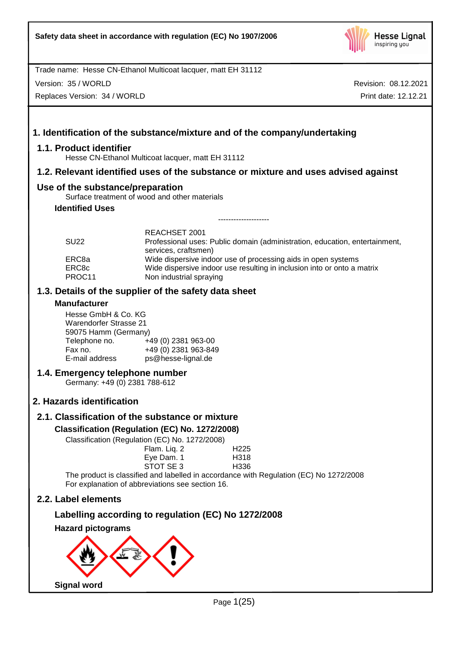

Version: 35 / WORLD

Replaces Version: 34 / WORLD

Revision: 08.12.2021 Print date: 12.12.21

## **1. Identification of the substance/mixture and of the company/undertaking**

#### **1.1. Product identifier**

Hesse CN-Ethanol Multicoat lacquer, matt EH 31112

### **1.2. Relevant identified uses of the substance or mixture and uses advised against**

### **Use of the substance/preparation**

Surface treatment of wood and other materials

### **Identified Uses**

| <b>SU22</b>     | REACHSET 2001<br>Professional uses: Public domain (administration, education, entertainment,       |
|-----------------|----------------------------------------------------------------------------------------------------|
| ERC8a           | services, craftsmen)<br>Wide dispersive indoor use of processing aids in open systems              |
| ERC8c<br>PROC11 | Wide dispersive indoor use resulting in inclusion into or onto a matrix<br>Non industrial spraying |

--------------------

### **1.3. Details of the supplier of the safety data sheet**

#### **Manufacturer**

Hesse GmbH & Co. KG Warendorfer Strasse 21 59075 Hamm (Germany) Telephone no.<br>Fax no Fax no. +49 (0) 2381 963-849 ps@hesse-lignal.de

### **1.4. Emergency telephone number**

Germany: +49 (0) 2381 788-612

## **2. Hazards identification**

### **2.1. Classification of the substance or mixture**

#### **Classification (Regulation (EC) No. 1272/2008)**

Classification (Regulation (EC) No. 1272/2008)

| awon (LO) 140. 1212/2000) |      |
|---------------------------|------|
| Flam. Liq. 2              | H225 |
| Eye Dam. 1                | H318 |
| STOT SE3                  | H336 |
|                           |      |

The product is classified and labelled in accordance with Regulation (EC) No 1272/2008 For explanation of abbreviations see section 16.

### **2.2. Label elements**

## **Labelling according to regulation (EC) No 1272/2008**

**Hazard pictograms**

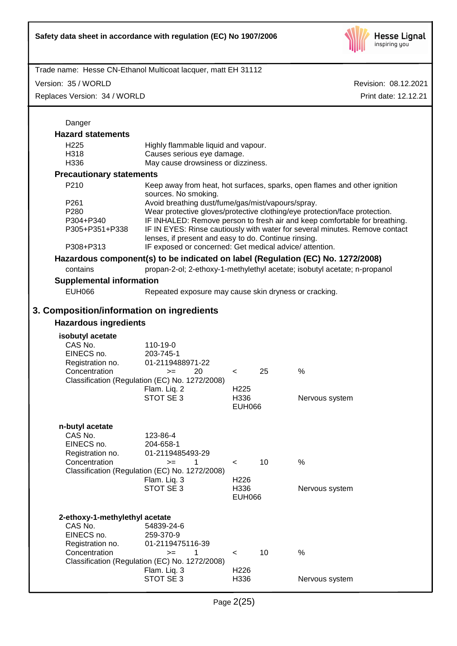

Version: 35 / WORLD

Replaces Version: 34 / WORLD

| Danger                                                                                       |                                                                                                                                                                                                                                                                                                                                                      |                                                      |    |                                                                                                                                                              |
|----------------------------------------------------------------------------------------------|------------------------------------------------------------------------------------------------------------------------------------------------------------------------------------------------------------------------------------------------------------------------------------------------------------------------------------------------------|------------------------------------------------------|----|--------------------------------------------------------------------------------------------------------------------------------------------------------------|
| <b>Hazard statements</b>                                                                     |                                                                                                                                                                                                                                                                                                                                                      |                                                      |    |                                                                                                                                                              |
| H <sub>225</sub><br>H318<br>H336                                                             | Highly flammable liquid and vapour.<br>Causes serious eye damage.<br>May cause drowsiness or dizziness.                                                                                                                                                                                                                                              |                                                      |    |                                                                                                                                                              |
| <b>Precautionary statements</b>                                                              |                                                                                                                                                                                                                                                                                                                                                      |                                                      |    |                                                                                                                                                              |
| P210                                                                                         | Keep away from heat, hot surfaces, sparks, open flames and other ignition<br>sources. No smoking.                                                                                                                                                                                                                                                    |                                                      |    |                                                                                                                                                              |
| P <sub>261</sub><br>P280<br>P304+P340<br>P305+P351+P338                                      | Avoid breathing dust/fume/gas/mist/vapours/spray.<br>Wear protective gloves/protective clothing/eye protection/face protection.<br>IF INHALED: Remove person to fresh air and keep comfortable for breathing.<br>IF IN EYES: Rinse cautiously with water for several minutes. Remove contact<br>lenses, if present and easy to do. Continue rinsing. |                                                      |    |                                                                                                                                                              |
| P308+P313                                                                                    | IF exposed or concerned: Get medical advice/attention.                                                                                                                                                                                                                                                                                               |                                                      |    |                                                                                                                                                              |
| contains                                                                                     |                                                                                                                                                                                                                                                                                                                                                      |                                                      |    | Hazardous component(s) to be indicated on label (Regulation (EC) No. 1272/2008)<br>propan-2-ol; 2-ethoxy-1-methylethyl acetate; isobutyl acetate; n-propanol |
| <b>Supplemental information</b>                                                              |                                                                                                                                                                                                                                                                                                                                                      |                                                      |    |                                                                                                                                                              |
| EUH066                                                                                       | Repeated exposure may cause skin dryness or cracking.                                                                                                                                                                                                                                                                                                |                                                      |    |                                                                                                                                                              |
|                                                                                              |                                                                                                                                                                                                                                                                                                                                                      |                                                      |    |                                                                                                                                                              |
| 3. Composition/information on ingredients<br><b>Hazardous ingredients</b>                    |                                                                                                                                                                                                                                                                                                                                                      |                                                      |    |                                                                                                                                                              |
|                                                                                              |                                                                                                                                                                                                                                                                                                                                                      |                                                      |    |                                                                                                                                                              |
| isobutyl acetate<br>CAS No.<br>EINECS no.<br>Registration no.<br>Concentration               | 110-19-0<br>203-745-1<br>01-2119488971-22<br>20<br>$>=$<br>Classification (Regulation (EC) No. 1272/2008)<br>Flam. Liq. 2<br>STOT SE 3                                                                                                                                                                                                               | $\prec$<br>H <sub>225</sub><br>H336<br><b>EUH066</b> | 25 | %<br>Nervous system                                                                                                                                          |
| n-butyl acetate<br>CAS No.<br>EINECS no.<br>Registration no.<br>Concentration                | 123-86-4<br>204-658-1<br>01-2119485493-29<br>$> =$ 1<br>Classification (Regulation (EC) No. 1272/2008)<br>Flam. Liq. 3<br>STOT SE 3                                                                                                                                                                                                                  | $\leq$<br>H <sub>226</sub><br>H336<br><b>EUH066</b>  | 10 | %<br>Nervous system                                                                                                                                          |
| 2-ethoxy-1-methylethyl acetate<br>CAS No.<br>EINECS no.<br>Registration no.<br>Concentration | 54839-24-6<br>259-370-9<br>01-2119475116-39<br>1<br>$>=$<br>Classification (Regulation (EC) No. 1272/2008)<br>Flam. Liq. 3<br>STOT SE 3                                                                                                                                                                                                              | $\,<\,$<br>H <sub>226</sub><br>H336                  | 10 | %<br>Nervous system                                                                                                                                          |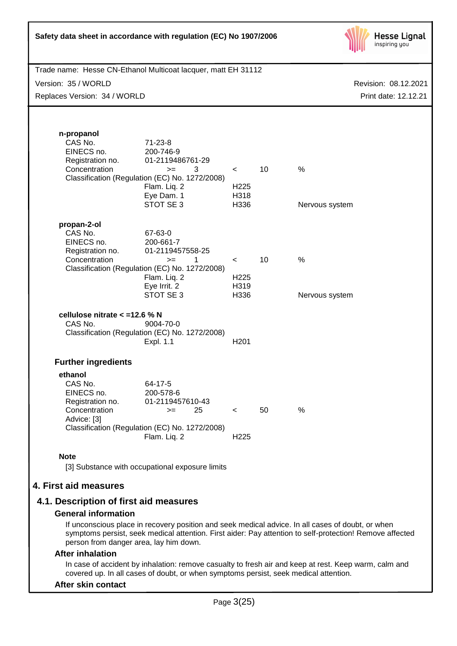| Safety data sheet in accordance with regulation (EC) No 1907/2006                    |                                                                                                                                                                 |                                             |    | <b>Hesse Lignal</b><br>inspiring you  |
|--------------------------------------------------------------------------------------|-----------------------------------------------------------------------------------------------------------------------------------------------------------------|---------------------------------------------|----|---------------------------------------|
| Trade name: Hesse CN-Ethanol Multicoat lacquer, matt EH 31112                        |                                                                                                                                                                 |                                             |    |                                       |
| Version: 35 / WORLD                                                                  |                                                                                                                                                                 |                                             |    | Revision: 08.12.2021                  |
| Replaces Version: 34 / WORLD                                                         |                                                                                                                                                                 |                                             |    | Print date: 12.12.21                  |
| n-propanol<br>CAS No.<br>EINECS no.<br>Registration no.<br>Concentration             | $71 - 23 - 8$<br>200-746-9<br>01-2119486761-29<br>3<br>$>=$<br>Classification (Regulation (EC) No. 1272/2008)<br>Flam. Liq. 2<br>Eye Dam. 1<br>STOT SE 3        | $\lt$<br>H <sub>225</sub><br>H318<br>H336   | 10 | $\frac{0}{0}$                         |
| propan-2-ol<br>CAS No.<br>EINECS no.<br>Registration no.<br>Concentration            | 67-63-0<br>200-661-7<br>01-2119457558-25<br>$\mathbf{1}$<br>$>=$<br>Classification (Regulation (EC) No. 1272/2008)<br>Flam. Liq. 2<br>Eye Irrit. 2<br>STOT SE 3 | $\prec$<br>H <sub>225</sub><br>H319<br>H336 | 10 | Nervous system<br>%<br>Nervous system |
| cellulose nitrate $<$ =12.6 % N<br>CAS No.                                           | 9004-70-0<br>Classification (Regulation (EC) No. 1272/2008)<br>Expl. 1.1                                                                                        | H <sub>201</sub>                            |    |                                       |
| <b>Further ingredients</b>                                                           |                                                                                                                                                                 |                                             |    |                                       |
| ethanol<br>CAS No.<br>EINECS no.<br>Registration no.<br>Concentration<br>Advice: [3] | 64-17-5<br>200-578-6<br>01-2119457610-43<br>25<br>$>=$<br>Classification (Regulation (EC) No. 1272/2008)<br>Flam. Liq. 2                                        | $\prec$<br>H <sub>225</sub>                 | 50 | $\%$                                  |
| <b>Note</b>                                                                          |                                                                                                                                                                 |                                             |    |                                       |
|                                                                                      | [3] Substance with occupational exposure limits                                                                                                                 |                                             |    |                                       |
| 4. First aid measures                                                                |                                                                                                                                                                 |                                             |    |                                       |
| 4.1. Description of first aid measures<br><b>General information</b>                 |                                                                                                                                                                 |                                             |    |                                       |

If unconscious place in recovery position and seek medical advice. In all cases of doubt, or when symptoms persist, seek medical attention. First aider: Pay attention to self-protection! Remove affected person from danger area, lay him down.

#### **After inhalation**

In case of accident by inhalation: remove casualty to fresh air and keep at rest. Keep warm, calm and covered up. In all cases of doubt, or when symptoms persist, seek medical attention.

#### **After skin contact**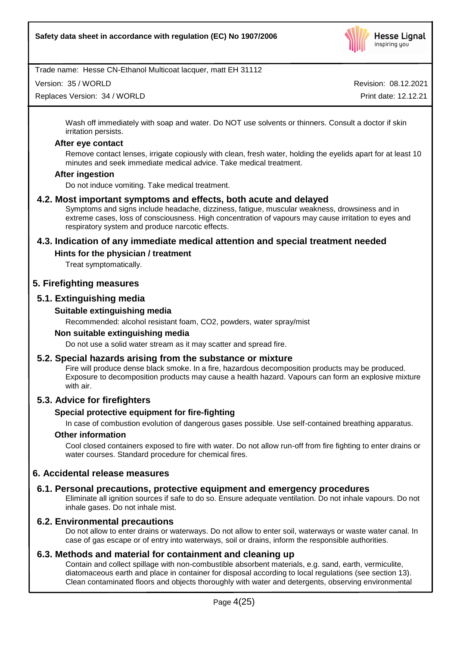

Version: 35 / WORLD

Replaces Version: 34 / WORLD

Revision: 08.12.2021 Print date: 12.12.21

Wash off immediately with soap and water. Do NOT use solvents or thinners. Consult a doctor if skin irritation persists.

#### **After eye contact**

Remove contact lenses, irrigate copiously with clean, fresh water, holding the eyelids apart for at least 10 minutes and seek immediate medical advice. Take medical treatment.

#### **After ingestion**

Do not induce vomiting. Take medical treatment.

### **4.2. Most important symptoms and effects, both acute and delayed**

Symptoms and signs include headache, dizziness, fatigue, muscular weakness, drowsiness and in extreme cases, loss of consciousness. High concentration of vapours may cause irritation to eyes and respiratory system and produce narcotic effects.

### **4.3. Indication of any immediate medical attention and special treatment needed**

#### **Hints for the physician / treatment**

Treat symptomatically.

### **5. Firefighting measures**

### **5.1. Extinguishing media**

#### **Suitable extinguishing media**

Recommended: alcohol resistant foam, CO2, powders, water spray/mist

#### **Non suitable extinguishing media**

Do not use a solid water stream as it may scatter and spread fire.

#### **5.2. Special hazards arising from the substance or mixture**

Fire will produce dense black smoke. In a fire, hazardous decomposition products may be produced. Exposure to decomposition products may cause a health hazard. Vapours can form an explosive mixture with air.

### **5.3. Advice for firefighters**

#### **Special protective equipment for fire-fighting**

In case of combustion evolution of dangerous gases possible. Use self-contained breathing apparatus.

#### **Other information**

Cool closed containers exposed to fire with water. Do not allow run-off from fire fighting to enter drains or water courses. Standard procedure for chemical fires.

### **6. Accidental release measures**

#### **6.1. Personal precautions, protective equipment and emergency procedures**

Eliminate all ignition sources if safe to do so. Ensure adequate ventilation. Do not inhale vapours. Do not inhale gases. Do not inhale mist.

#### **6.2. Environmental precautions**

Do not allow to enter drains or waterways. Do not allow to enter soil, waterways or waste water canal. In case of gas escape or of entry into waterways, soil or drains, inform the responsible authorities.

### **6.3. Methods and material for containment and cleaning up**

Contain and collect spillage with non-combustible absorbent materials, e.g. sand, earth, vermiculite, diatomaceous earth and place in container for disposal according to local regulations (see section 13). Clean contaminated floors and objects thoroughly with water and detergents, observing environmental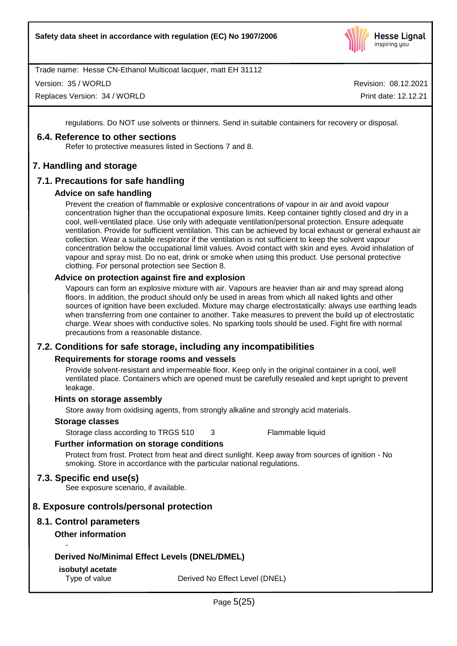

Version: 35 / WORLD

Replaces Version: 34 / WORLD

Revision: 08.12.2021 Print date: 12.12.21

regulations. Do NOT use solvents or thinners. Send in suitable containers for recovery or disposal.

### **6.4. Reference to other sections**

Refer to protective measures listed in Sections 7 and 8.

### **7. Handling and storage**

### **7.1. Precautions for safe handling**

### **Advice on safe handling**

Prevent the creation of flammable or explosive concentrations of vapour in air and avoid vapour concentration higher than the occupational exposure limits. Keep container tightly closed and dry in a cool, well-ventilated place. Use only with adequate ventilation/personal protection. Ensure adequate ventilation. Provide for sufficient ventilation. This can be achieved by local exhaust or general exhaust air collection. Wear a suitable respirator if the ventilation is not sufficient to keep the solvent vapour concentration below the occupational limit values. Avoid contact with skin and eyes. Avoid inhalation of vapour and spray mist. Do no eat, drink or smoke when using this product. Use personal protective clothing. For personal protection see Section 8.

### **Advice on protection against fire and explosion**

Vapours can form an explosive mixture with air. Vapours are heavier than air and may spread along floors. In addition, the product should only be used in areas from which all naked lights and other sources of ignition have been excluded. Mixture may charge electrostatically: always use earthing leads when transferring from one container to another. Take measures to prevent the build up of electrostatic charge. Wear shoes with conductive soles. No sparking tools should be used. Fight fire with normal precautions from a reasonable distance.

### **7.2. Conditions for safe storage, including any incompatibilities**

### **Requirements for storage rooms and vessels**

Provide solvent-resistant and impermeable floor. Keep only in the original container in a cool, well ventilated place. Containers which are opened must be carefully resealed and kept upright to prevent leakage.

#### **Hints on storage assembly**

Store away from oxidising agents, from strongly alkaline and strongly acid materials.

#### **Storage classes**

Storage class according to TRGS 510 3 Flammable liquid

## **Further information on storage conditions**

Protect from frost. Protect from heat and direct sunlight. Keep away from sources of ignition - No smoking. Store in accordance with the particular national regulations.

## **7.3. Specific end use(s)**

See exposure scenario, if available.

## **8. Exposure controls/personal protection**

## **8.1. Control parameters**

## **Other information**

-

## **Derived No/Minimal Effect Levels (DNEL/DMEL)**

## **isobutyl acetate**

Type of value Derived No Effect Level (DNEL)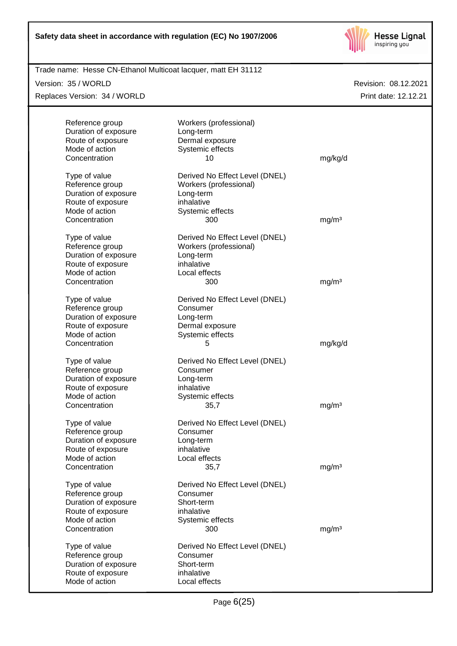

| Trade name: Hesse CN-Ethanol Multicoat lacquer, matt EH 31112 |                                     |                      |
|---------------------------------------------------------------|-------------------------------------|----------------------|
| Version: 35 / WORLD                                           |                                     | Revision: 08.12.2021 |
| Replaces Version: 34 / WORLD                                  |                                     | Print date: 12.12.21 |
|                                                               |                                     |                      |
| Reference group<br>Duration of exposure                       | Workers (professional)<br>Long-term |                      |
| Route of exposure                                             | Dermal exposure                     |                      |
| Mode of action                                                | Systemic effects                    |                      |
| Concentration                                                 | 10                                  | mg/kg/d              |
| Type of value                                                 | Derived No Effect Level (DNEL)      |                      |
| Reference group                                               | Workers (professional)              |                      |
| Duration of exposure                                          | Long-term                           |                      |
| Route of exposure                                             | inhalative                          |                      |
| Mode of action                                                | Systemic effects                    |                      |
| Concentration                                                 | 300                                 | mg/m <sup>3</sup>    |
| Type of value                                                 | Derived No Effect Level (DNEL)      |                      |
| Reference group                                               | Workers (professional)              |                      |
| Duration of exposure                                          | Long-term                           |                      |
| Route of exposure                                             | inhalative                          |                      |
| Mode of action                                                | Local effects                       |                      |
| Concentration                                                 | 300                                 | mg/m <sup>3</sup>    |
| Type of value                                                 | Derived No Effect Level (DNEL)      |                      |
| Reference group                                               | Consumer                            |                      |
| Duration of exposure                                          | Long-term                           |                      |
| Route of exposure                                             | Dermal exposure                     |                      |
| Mode of action                                                | Systemic effects                    |                      |
| Concentration                                                 | 5                                   | mg/kg/d              |
| Type of value                                                 | Derived No Effect Level (DNEL)      |                      |
| Reference group                                               | Consumer                            |                      |
| Duration of exposure                                          | Long-term                           |                      |
| Route of exposure                                             | inhalative                          |                      |
| Mode of action                                                | Systemic effects                    |                      |
| Concentration                                                 | 35,7                                | mg/m <sup>3</sup>    |
| Type of value                                                 | Derived No Effect Level (DNEL)      |                      |
| Reference group                                               | Consumer                            |                      |
| Duration of exposure                                          | Long-term                           |                      |
| Route of exposure                                             | inhalative                          |                      |
| Mode of action                                                | Local effects                       |                      |
| Concentration                                                 | 35,7                                | mg/m <sup>3</sup>    |
| Type of value                                                 | Derived No Effect Level (DNEL)      |                      |
| Reference group                                               | Consumer                            |                      |
| Duration of exposure                                          | Short-term                          |                      |
| Route of exposure                                             | inhalative                          |                      |
| Mode of action                                                | Systemic effects                    |                      |
| Concentration                                                 | 300                                 | mg/m <sup>3</sup>    |
| Type of value                                                 | Derived No Effect Level (DNEL)      |                      |
| Reference group                                               | Consumer                            |                      |
| Duration of exposure                                          | Short-term                          |                      |
| Route of exposure<br>Mode of action                           | inhalative<br>Local effects         |                      |
|                                                               |                                     |                      |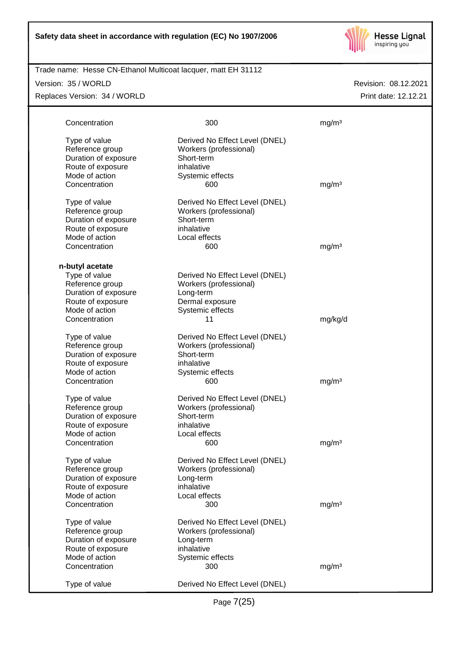

#### Version: 35 / WORLD

Replaces Version: 34 / WORLD

| Concentration        | 300                            | mg/m <sup>3</sup> |  |
|----------------------|--------------------------------|-------------------|--|
| Type of value        | Derived No Effect Level (DNEL) |                   |  |
| Reference group      | Workers (professional)         |                   |  |
| Duration of exposure | Short-term                     |                   |  |
| Route of exposure    | inhalative                     |                   |  |
| Mode of action       | Systemic effects               |                   |  |
| Concentration        | 600                            | mg/m <sup>3</sup> |  |
| Type of value        | Derived No Effect Level (DNEL) |                   |  |
| Reference group      | Workers (professional)         |                   |  |
| Duration of exposure | Short-term                     |                   |  |
| Route of exposure    | inhalative                     |                   |  |
| Mode of action       | Local effects                  |                   |  |
| Concentration        | 600                            | mg/m <sup>3</sup> |  |
| n-butyl acetate      |                                |                   |  |
| Type of value        | Derived No Effect Level (DNEL) |                   |  |
| Reference group      | Workers (professional)         |                   |  |
| Duration of exposure | Long-term                      |                   |  |
| Route of exposure    | Dermal exposure                |                   |  |
| Mode of action       | Systemic effects               |                   |  |
| Concentration        | 11                             | mg/kg/d           |  |
| Type of value        | Derived No Effect Level (DNEL) |                   |  |
| Reference group      | Workers (professional)         |                   |  |
| Duration of exposure | Short-term                     |                   |  |
| Route of exposure    | inhalative                     |                   |  |
| Mode of action       | Systemic effects               |                   |  |
| Concentration        | 600                            | mg/m <sup>3</sup> |  |
| Type of value        | Derived No Effect Level (DNEL) |                   |  |
| Reference group      | Workers (professional)         |                   |  |
| Duration of exposure | Short-term                     |                   |  |
| Route of exposure    | inhalative                     |                   |  |
| Mode of action       | Local effects                  |                   |  |
| Concentration        | 600                            | mg/m <sup>3</sup> |  |
| Type of value        | Derived No Effect Level (DNEL) |                   |  |
| Reference group      | Workers (professional)         |                   |  |
| Duration of exposure | Long-term                      |                   |  |
| Route of exposure    | inhalative                     |                   |  |
| Mode of action       | Local effects                  |                   |  |
| Concentration        | 300                            | mg/m <sup>3</sup> |  |
| Type of value        | Derived No Effect Level (DNEL) |                   |  |
| Reference group      | Workers (professional)         |                   |  |
| Duration of exposure | Long-term                      |                   |  |
| Route of exposure    | inhalative                     |                   |  |
| Mode of action       | Systemic effects               |                   |  |
| Concentration        | 300                            | mg/m <sup>3</sup> |  |
| Type of value        | Derived No Effect Level (DNEL) |                   |  |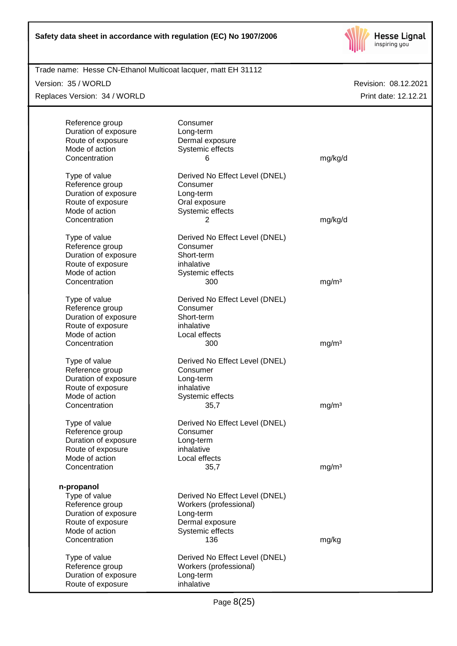

| Trade name: Hesse CN-Ethanol Multicoat lacquer, matt EH 31112 |                                |                   |                      |
|---------------------------------------------------------------|--------------------------------|-------------------|----------------------|
| Version: 35 / WORLD                                           |                                |                   | Revision: 08.12.2021 |
| Replaces Version: 34 / WORLD                                  |                                |                   | Print date: 12.12.21 |
|                                                               |                                |                   |                      |
| Reference group                                               | Consumer                       |                   |                      |
| Duration of exposure                                          | Long-term                      |                   |                      |
| Route of exposure                                             | Dermal exposure                |                   |                      |
| Mode of action<br>Concentration                               | Systemic effects               | mg/kg/d           |                      |
|                                                               | 6                              |                   |                      |
| Type of value                                                 | Derived No Effect Level (DNEL) |                   |                      |
| Reference group                                               | Consumer                       |                   |                      |
| Duration of exposure                                          | Long-term                      |                   |                      |
| Route of exposure                                             | Oral exposure                  |                   |                      |
| Mode of action                                                | Systemic effects               |                   |                      |
| Concentration                                                 | 2                              | mg/kg/d           |                      |
| Type of value                                                 | Derived No Effect Level (DNEL) |                   |                      |
| Reference group                                               | Consumer                       |                   |                      |
| Duration of exposure                                          | Short-term                     |                   |                      |
| Route of exposure                                             | inhalative                     |                   |                      |
| Mode of action                                                | Systemic effects               |                   |                      |
| Concentration                                                 | 300                            | mg/m <sup>3</sup> |                      |
| Type of value                                                 | Derived No Effect Level (DNEL) |                   |                      |
| Reference group                                               | Consumer                       |                   |                      |
| Duration of exposure                                          | Short-term                     |                   |                      |
| Route of exposure                                             | inhalative                     |                   |                      |
| Mode of action                                                | Local effects                  |                   |                      |
| Concentration                                                 | 300                            | mg/m <sup>3</sup> |                      |
| Type of value                                                 | Derived No Effect Level (DNEL) |                   |                      |
| Reference group                                               | Consumer                       |                   |                      |
| Duration of exposure                                          | Long-term                      |                   |                      |
| Route of exposure                                             | inhalative                     |                   |                      |
| Mode of action                                                | Systemic effects               |                   |                      |
| Concentration                                                 | 35,7                           | mg/m <sup>3</sup> |                      |
|                                                               |                                |                   |                      |
| Type of value                                                 | Derived No Effect Level (DNEL) |                   |                      |
| Reference group                                               | Consumer                       |                   |                      |
| Duration of exposure                                          | Long-term                      |                   |                      |
| Route of exposure                                             | inhalative                     |                   |                      |
| Mode of action                                                | Local effects                  |                   |                      |
| Concentration                                                 | 35,7                           | mg/m <sup>3</sup> |                      |
| n-propanol                                                    |                                |                   |                      |
| Type of value                                                 | Derived No Effect Level (DNEL) |                   |                      |
| Reference group                                               | Workers (professional)         |                   |                      |
| Duration of exposure                                          | Long-term                      |                   |                      |
| Route of exposure                                             | Dermal exposure                |                   |                      |
| Mode of action                                                | Systemic effects               |                   |                      |
| Concentration                                                 | 136                            | mg/kg             |                      |
| Type of value                                                 | Derived No Effect Level (DNEL) |                   |                      |
| Reference group                                               | Workers (professional)         |                   |                      |
| Duration of exposure                                          | Long-term                      |                   |                      |

Route of exposure inhalative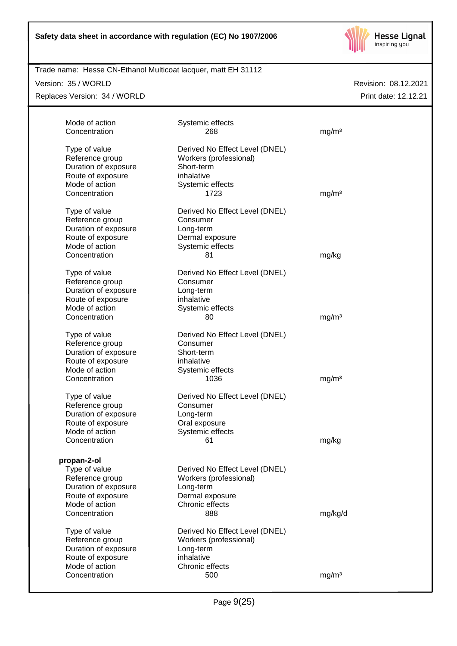

Version: 35 / WORLD

Replaces Version: 34 / WORLD

| Mode of action                                           | Systemic effects                                                       |                   |
|----------------------------------------------------------|------------------------------------------------------------------------|-------------------|
| Concentration                                            | 268                                                                    | mg/m <sup>3</sup> |
| Type of value<br>Reference group<br>Duration of exposure | Derived No Effect Level (DNEL)<br>Workers (professional)<br>Short-term |                   |
| Route of exposure                                        | inhalative                                                             |                   |
| Mode of action                                           | Systemic effects                                                       |                   |
| Concentration                                            | 1723                                                                   | mg/m <sup>3</sup> |
|                                                          |                                                                        |                   |
| Type of value                                            | Derived No Effect Level (DNEL)                                         |                   |
| Reference group                                          | Consumer                                                               |                   |
| Duration of exposure                                     | Long-term                                                              |                   |
| Route of exposure                                        | Dermal exposure                                                        |                   |
| Mode of action                                           | Systemic effects                                                       |                   |
| Concentration                                            | 81                                                                     | mg/kg             |
|                                                          |                                                                        |                   |
| Type of value                                            | Derived No Effect Level (DNEL)                                         |                   |
| Reference group                                          | Consumer                                                               |                   |
| Duration of exposure                                     | Long-term<br>inhalative                                                |                   |
| Route of exposure<br>Mode of action                      |                                                                        |                   |
| Concentration                                            | Systemic effects<br>80                                                 | mg/m <sup>3</sup> |
|                                                          |                                                                        |                   |
| Type of value                                            | Derived No Effect Level (DNEL)                                         |                   |
| Reference group                                          | Consumer                                                               |                   |
| Duration of exposure                                     | Short-term                                                             |                   |
| Route of exposure                                        | inhalative                                                             |                   |
| Mode of action                                           | Systemic effects                                                       |                   |
| Concentration                                            | 1036                                                                   | mg/m <sup>3</sup> |
|                                                          |                                                                        |                   |
| Type of value                                            | Derived No Effect Level (DNEL)                                         |                   |
| Reference group                                          | Consumer                                                               |                   |
| Duration of exposure<br>Route of exposure                | Long-term                                                              |                   |
| Mode of action                                           | Oral exposure<br>Systemic effects                                      |                   |
| Concentration                                            | 61                                                                     | mg/kg             |
|                                                          |                                                                        |                   |
| propan-2-ol                                              |                                                                        |                   |
| Type of value                                            | Derived No Effect Level (DNEL)                                         |                   |
| Reference group                                          | Workers (professional)                                                 |                   |
| Duration of exposure                                     | Long-term                                                              |                   |
| Route of exposure                                        | Dermal exposure                                                        |                   |
| Mode of action                                           | Chronic effects                                                        |                   |
| Concentration                                            | 888                                                                    | mg/kg/d           |
|                                                          |                                                                        |                   |
| Type of value                                            | Derived No Effect Level (DNEL)                                         |                   |
| Reference group                                          | Workers (professional)                                                 |                   |
| Duration of exposure                                     | Long-term                                                              |                   |
| Route of exposure                                        | inhalative                                                             |                   |
| Mode of action<br>Concentration                          | Chronic effects<br>500                                                 | mg/m <sup>3</sup> |
|                                                          |                                                                        |                   |
|                                                          |                                                                        |                   |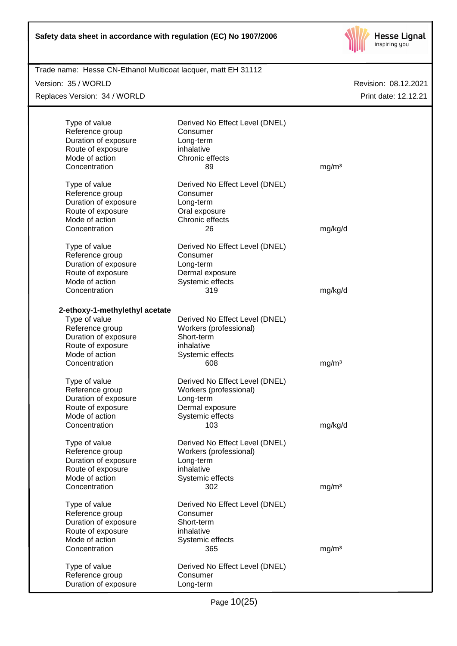

| Trade name: Hesse CN-Ethanol Multicoat lacquer, matt EH 31112 |                                |                      |
|---------------------------------------------------------------|--------------------------------|----------------------|
| Version: 35 / WORLD                                           |                                | Revision: 08.12.2021 |
| Replaces Version: 34 / WORLD                                  |                                | Print date: 12.12.21 |
|                                                               |                                |                      |
| Type of value                                                 | Derived No Effect Level (DNEL) |                      |
| Reference group                                               | Consumer                       |                      |
| Duration of exposure                                          | Long-term                      |                      |
| Route of exposure                                             | inhalative                     |                      |
| Mode of action                                                | Chronic effects                |                      |
| Concentration                                                 | 89                             | mg/m <sup>3</sup>    |
|                                                               |                                |                      |
| Type of value                                                 | Derived No Effect Level (DNEL) |                      |
| Reference group                                               | Consumer                       |                      |
| Duration of exposure                                          | Long-term                      |                      |
| Route of exposure                                             | Oral exposure                  |                      |
| Mode of action                                                | Chronic effects                |                      |
| Concentration                                                 | 26                             | mg/kg/d              |
|                                                               |                                |                      |
| Type of value                                                 | Derived No Effect Level (DNEL) |                      |
| Reference group                                               | Consumer                       |                      |
| Duration of exposure                                          | Long-term                      |                      |
| Route of exposure                                             | Dermal exposure                |                      |
| Mode of action                                                | Systemic effects               |                      |
| Concentration                                                 | 319                            | mg/kg/d              |
|                                                               |                                |                      |
| 2-ethoxy-1-methylethyl acetate                                |                                |                      |
| Type of value                                                 | Derived No Effect Level (DNEL) |                      |
| Reference group                                               | Workers (professional)         |                      |
| Duration of exposure                                          | Short-term                     |                      |
| Route of exposure                                             | inhalative                     |                      |
| Mode of action                                                | Systemic effects               |                      |
| Concentration                                                 | 608                            | mg/m <sup>3</sup>    |
|                                                               |                                |                      |
| Type of value                                                 | Derived No Effect Level (DNEL) |                      |
| Reference group                                               | Workers (professional)         |                      |
| Duration of exposure                                          | Long-term                      |                      |
| Route of exposure                                             | Dermal exposure                |                      |
| Mode of action                                                | Systemic effects               |                      |
| Concentration                                                 | 103                            | mg/kg/d              |
| Type of value                                                 | Derived No Effect Level (DNEL) |                      |
| Reference group                                               | Workers (professional)         |                      |
| Duration of exposure                                          | Long-term                      |                      |
| Route of exposure                                             | inhalative                     |                      |
| Mode of action                                                | Systemic effects               |                      |
| Concentration                                                 | 302                            | mg/m <sup>3</sup>    |
|                                                               |                                |                      |
| Type of value                                                 | Derived No Effect Level (DNEL) |                      |
| Reference group                                               | Consumer                       |                      |
| Duration of exposure                                          | Short-term                     |                      |
| Route of exposure                                             | inhalative                     |                      |
| Mode of action                                                | Systemic effects               |                      |
| Concentration                                                 | 365                            | mg/m <sup>3</sup>    |
|                                                               |                                |                      |
| Type of value                                                 | Derived No Effect Level (DNEL) |                      |
| Reference group                                               | Consumer                       |                      |
| Duration of exposure                                          | Long-term                      |                      |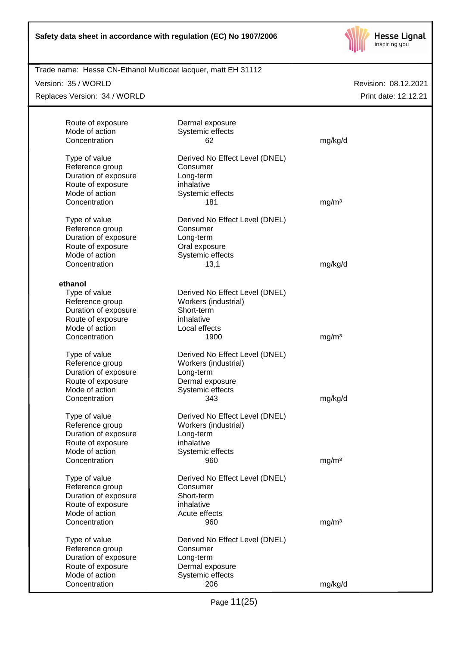

Trade name: Hesse CN-Ethanol Multicoat lacquer, matt EH 31112

Version: 35 / WORLD

Replaces Version: 34 / WORLD

| Route of exposure<br>Mode of action<br>Concentration                                                                        | Dermal exposure<br>Systemic effects<br>62                                                                   | mg/kg/d           |
|-----------------------------------------------------------------------------------------------------------------------------|-------------------------------------------------------------------------------------------------------------|-------------------|
| Type of value<br>Reference group<br>Duration of exposure<br>Route of exposure<br>Mode of action                             | Derived No Effect Level (DNEL)<br>Consumer<br>Long-term<br>inhalative<br>Systemic effects                   |                   |
| Concentration<br>Type of value<br>Reference group<br>Duration of exposure<br>Route of exposure<br>Mode of action            | 181<br>Derived No Effect Level (DNEL)<br>Consumer<br>Long-term<br>Oral exposure<br>Systemic effects         | mg/m <sup>3</sup> |
| Concentration                                                                                                               | 13,1                                                                                                        | mg/kg/d           |
| ethanol<br>Type of value<br>Reference group<br>Duration of exposure<br>Route of exposure<br>Mode of action<br>Concentration | Derived No Effect Level (DNEL)<br>Workers (industrial)<br>Short-term<br>inhalative<br>Local effects<br>1900 | mg/m <sup>3</sup> |
| Type of value<br>Reference group<br>Duration of exposure<br>Route of exposure<br>Mode of action                             | Derived No Effect Level (DNEL)<br>Workers (industrial)<br>Long-term<br>Dermal exposure<br>Systemic effects  |                   |
| Concentration                                                                                                               | 343                                                                                                         | mg/kg/d           |
| Type of value<br>Reference group<br>Duration of exposure<br>Route of exposure<br>Mode of action                             | Derived No Effect Level (DNEL)<br>Workers (industrial)<br>Long-term<br>inhalative<br>Systemic effects       |                   |
| Concentration                                                                                                               | 960                                                                                                         | mg/m <sup>3</sup> |
| Type of value<br>Reference group<br>Duration of exposure<br>Route of exposure<br>Mode of action<br>Concentration            | Derived No Effect Level (DNEL)<br>Consumer<br>Short-term<br>inhalative<br>Acute effects<br>960              | mg/m <sup>3</sup> |
| Type of value<br>Reference group<br>Duration of exposure<br>Route of exposure<br>Mode of action                             | Derived No Effect Level (DNEL)<br>Consumer<br>Long-term<br>Dermal exposure<br>Systemic effects              |                   |
| Concentration                                                                                                               | 206                                                                                                         | mg/kg/d           |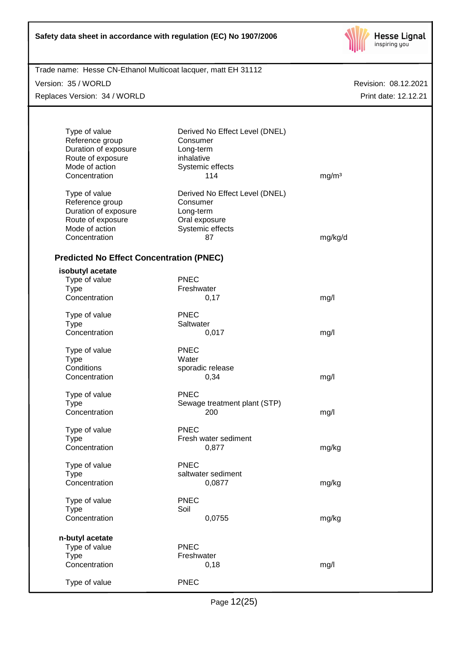| Safety data sheet in accordance with regulation (EC) No 1907/2006 |  |
|-------------------------------------------------------------------|--|
|-------------------------------------------------------------------|--|



| Trade name: Hesse CN-Ethanol Multicoat lacquer, matt EH 31112 |                                |                      |
|---------------------------------------------------------------|--------------------------------|----------------------|
| Version: 35 / WORLD                                           |                                | Revision: 08.12.2021 |
| Replaces Version: 34 / WORLD                                  |                                | Print date: 12.12.21 |
|                                                               |                                |                      |
|                                                               |                                |                      |
| Type of value                                                 | Derived No Effect Level (DNEL) |                      |
| Reference group                                               | Consumer                       |                      |
| Duration of exposure                                          | Long-term                      |                      |
| Route of exposure                                             | inhalative                     |                      |
| Mode of action                                                | Systemic effects               |                      |
| Concentration                                                 | 114                            | mg/m <sup>3</sup>    |
| Type of value                                                 | Derived No Effect Level (DNEL) |                      |
| Reference group                                               | Consumer                       |                      |
| Duration of exposure                                          | Long-term                      |                      |
| Route of exposure                                             | Oral exposure                  |                      |
| Mode of action                                                | Systemic effects               |                      |
| Concentration                                                 | 87                             | mg/kg/d              |
|                                                               |                                |                      |
| <b>Predicted No Effect Concentration (PNEC)</b>               |                                |                      |
| isobutyl acetate                                              |                                |                      |
| Type of value                                                 | PNEC                           |                      |
| <b>Type</b>                                                   | Freshwater                     |                      |
| Concentration                                                 | 0,17                           | mg/l                 |
| Type of value                                                 | <b>PNEC</b>                    |                      |
| <b>Type</b>                                                   | Saltwater                      |                      |
| Concentration                                                 | 0,017                          | mg/l                 |
|                                                               |                                |                      |
| Type of value                                                 | <b>PNEC</b>                    |                      |
| <b>Type</b>                                                   | Water                          |                      |
| Conditions                                                    | sporadic release               |                      |
| Concentration                                                 | 0,34                           | mg/l                 |
| Type of value                                                 | <b>PNEC</b>                    |                      |
| <b>Type</b>                                                   | Sewage treatment plant (STP)   |                      |
| Concentration                                                 | 200                            | mg/l                 |
|                                                               |                                |                      |
| Type of value                                                 | <b>PNEC</b>                    |                      |
| <b>Type</b>                                                   | Fresh water sediment           |                      |
| Concentration                                                 | 0,877                          | mg/kg                |
| Type of value                                                 | <b>PNEC</b>                    |                      |
| <b>Type</b>                                                   | saltwater sediment             |                      |
| Concentration                                                 | 0,0877                         | mg/kg                |
|                                                               |                                |                      |
| Type of value                                                 | <b>PNEC</b>                    |                      |
| <b>Type</b>                                                   | Soil                           |                      |
| Concentration                                                 | 0,0755                         | mg/kg                |
|                                                               |                                |                      |
| n-butyl acetate                                               | <b>PNEC</b>                    |                      |
| Type of value                                                 |                                |                      |
| <b>Type</b><br>Concentration                                  | Freshwater                     |                      |
|                                                               | 0,18                           | mg/l                 |
| Type of value                                                 | <b>PNEC</b>                    |                      |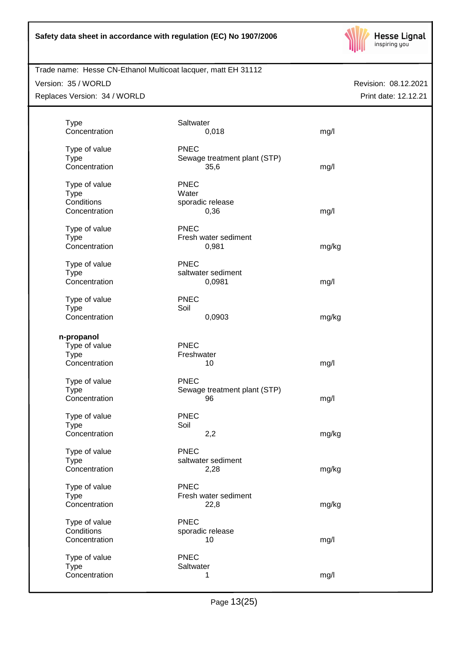

#### Version: 35 / WORLD

Replaces Version: 34 / WORLD

| <b>Type</b><br>Concentration                                | Saltwater<br>0,018                                  | mg/l  |
|-------------------------------------------------------------|-----------------------------------------------------|-------|
| Type of value<br><b>Type</b><br>Concentration               | <b>PNEC</b><br>Sewage treatment plant (STP)<br>35,6 | mg/l  |
| Type of value<br><b>Type</b><br>Conditions<br>Concentration | <b>PNEC</b><br>Water<br>sporadic release<br>0,36    | mg/l  |
| Type of value<br><b>Type</b><br>Concentration               | <b>PNEC</b><br>Fresh water sediment<br>0,981        | mg/kg |
| Type of value<br><b>Type</b><br>Concentration               | <b>PNEC</b><br>saltwater sediment<br>0,0981         | mg/l  |
| Type of value<br><b>Type</b><br>Concentration               | <b>PNEC</b><br>Soil<br>0,0903                       | mg/kg |
| n-propanol<br>Type of value<br><b>Type</b><br>Concentration | <b>PNEC</b><br>Freshwater<br>10                     | mg/l  |
| Type of value<br><b>Type</b><br>Concentration               | <b>PNEC</b><br>Sewage treatment plant (STP)<br>96   | mg/l  |
| Type of value<br><b>Type</b><br>Concentration               | <b>PNEC</b><br>Soil<br>2,2                          | mg/kg |
| Type of value<br><b>Type</b><br>Concentration               | <b>PNEC</b><br>saltwater sediment<br>2,28           | mg/kg |
| Type of value<br><b>Type</b><br>Concentration               | <b>PNEC</b><br>Fresh water sediment<br>22,8         | mg/kg |
| Type of value<br>Conditions<br>Concentration                | <b>PNEC</b><br>sporadic release<br>10               | mg/l  |
| Type of value<br><b>Type</b><br>Concentration               | <b>PNEC</b><br>Saltwater<br>1                       | mg/l  |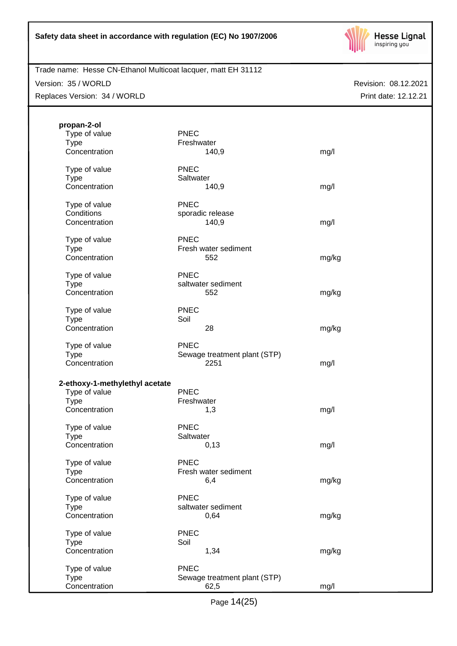

Trade name: Hesse CN-Ethanol Multicoat lacquer, matt EH 31112

Version: 35 / WORLD

Replaces Version: 34 / WORLD

| propan-2-ol<br>Type of value<br><b>Type</b><br>Concentration                    | <b>PNEC</b><br>Freshwater<br>140,9                  | mg/l  |
|---------------------------------------------------------------------------------|-----------------------------------------------------|-------|
| Type of value<br><b>Type</b><br>Concentration                                   | <b>PNEC</b><br>Saltwater<br>140,9                   | mg/l  |
| Type of value<br>Conditions<br>Concentration                                    | <b>PNEC</b><br>sporadic release<br>140,9            | mg/l  |
| Type of value<br><b>Type</b><br>Concentration                                   | <b>PNEC</b><br>Fresh water sediment<br>552          | mg/kg |
| Type of value<br><b>Type</b><br>Concentration                                   | <b>PNEC</b><br>saltwater sediment<br>552            | mg/kg |
| Type of value<br><b>Type</b><br>Concentration                                   | <b>PNEC</b><br>Soil<br>28                           | mg/kg |
| Type of value<br><b>Type</b><br>Concentration                                   | <b>PNEC</b><br>Sewage treatment plant (STP)<br>2251 | mg/l  |
| 2-ethoxy-1-methylethyl acetate<br>Type of value<br><b>Type</b><br>Concentration | <b>PNEC</b><br>Freshwater<br>1,3                    | mg/l  |
| Type of value<br><b>Type</b><br>Concentration                                   | <b>PNEC</b><br>Saltwater<br>0,13                    | mg/l  |
| Type of value<br><b>Type</b><br>Concentration                                   | <b>PNEC</b><br>Fresh water sediment<br>6,4          | mg/kg |
| Type of value<br><b>Type</b><br>Concentration                                   | <b>PNEC</b><br>saltwater sediment<br>0,64           | mg/kg |
| Type of value<br><b>Type</b><br>Concentration                                   | <b>PNEC</b><br>Soil<br>1,34                         | mg/kg |
| Type of value<br><b>Type</b><br>Concentration                                   | <b>PNEC</b><br>Sewage treatment plant (STP)<br>62,5 | mg/l  |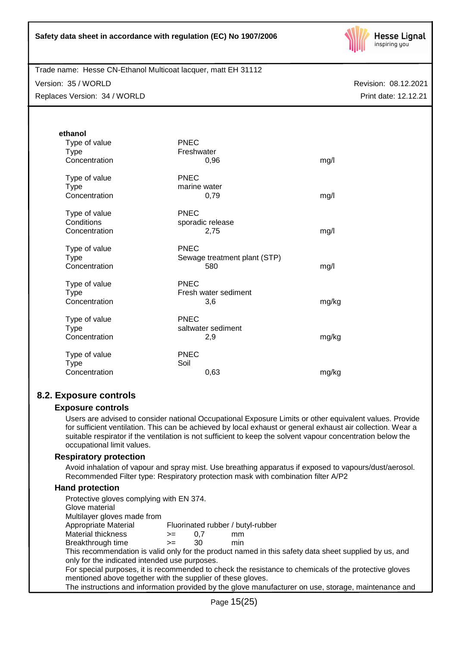

Trade name: Hesse CN-Ethanol Multicoat lacquer, matt EH 31112

Version: 35 / WORLD

Replaces Version: 34 / WORLD

Revision: 08.12.2021 Print date: 12.12.21

| ethanol<br>Type of value<br><b>Type</b>       | <b>PNEC</b><br>Freshwater                          |       |
|-----------------------------------------------|----------------------------------------------------|-------|
| Concentration                                 | 0,96                                               | mg/l  |
| Type of value<br><b>Type</b><br>Concentration | <b>PNEC</b><br>marine water<br>0,79                | mg/l  |
| Type of value<br>Conditions<br>Concentration  | <b>PNEC</b><br>sporadic release<br>2,75            | mg/l  |
| Type of value<br><b>Type</b><br>Concentration | <b>PNEC</b><br>Sewage treatment plant (STP)<br>580 | mg/l  |
| Type of value<br><b>Type</b><br>Concentration | <b>PNEC</b><br>Fresh water sediment<br>3,6         | mg/kg |
| Type of value<br><b>Type</b><br>Concentration | <b>PNEC</b><br>saltwater sediment<br>2,9           | mg/kg |
| Type of value<br><b>Type</b><br>Concentration | <b>PNEC</b><br>Soil<br>0.63                        | mg/kg |

### **8.2. Exposure controls**

#### **Exposure controls**

Users are advised to consider national Occupational Exposure Limits or other equivalent values. Provide for sufficient ventilation. This can be achieved by local exhaust or general exhaust air collection. Wear a suitable respirator if the ventilation is not sufficient to keep the solvent vapour concentration below the occupational limit values.

#### **Respiratory protection**

Avoid inhalation of vapour and spray mist. Use breathing apparatus if exposed to vapours/dust/aerosol. Recommended Filter type: Respiratory protection mask with combination filter A/P2

#### **Hand protection**

| Protective gloves complying with EN 374.                    |      |     |                                                                                                       |
|-------------------------------------------------------------|------|-----|-------------------------------------------------------------------------------------------------------|
| Glove material                                              |      |     |                                                                                                       |
| Multilayer gloves made from                                 |      |     |                                                                                                       |
| Appropriate Material                                        |      |     | Fluorinated rubber / butyl-rubber                                                                     |
| Material thickness                                          | $>=$ | 0.7 | mm                                                                                                    |
| Breakthrough time                                           | $>=$ | 30  | min                                                                                                   |
|                                                             |      |     | This recommendation is valid only for the product named in this safety data sheet supplied by us, and |
| only for the indicated intended use purposes.               |      |     |                                                                                                       |
|                                                             |      |     | For special purposes, it is recommended to check the resistance to chemicals of the protective gloves |
| mentioned above together with the supplier of these gloves. |      |     |                                                                                                       |
|                                                             |      |     | The instructions and information provided by the glove manufacturer on use, storage, maintenance and  |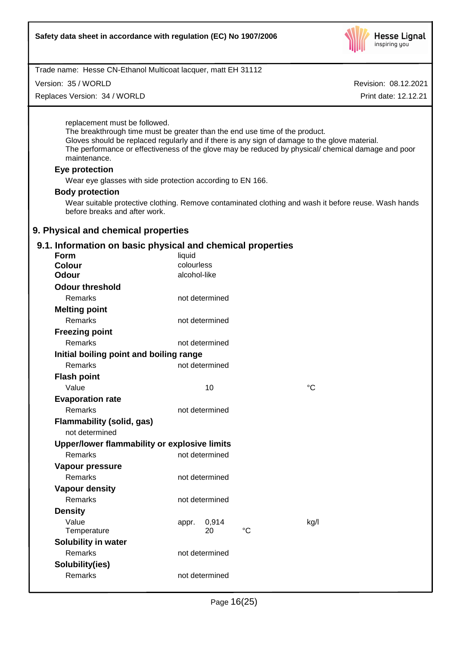

Version: 35 / WORLD

Replaces Version: 34 / WORLD

Revision: 08.12.2021

Print date: 12.12.21

replacement must be followed.

The breakthrough time must be greater than the end use time of the product. Gloves should be replaced regularly and if there is any sign of damage to the glove material. The performance or effectiveness of the glove may be reduced by physical/ chemical damage and poor maintenance.

#### **Eye protection**

Wear eye glasses with side protection according to EN 166.

#### **Body protection**

Wear suitable protective clothing. Remove contaminated clothing and wash it before reuse. Wash hands before breaks and after work.

### **9. Physical and chemical properties**

## **9.1. Information on basic physical and chemical properties**

| <b>INTERNATION OF BESIC PHYSICAL AND CHEMICAL PLOPER RES</b><br><b>Form</b> | liquid       |                |             |      |
|-----------------------------------------------------------------------------|--------------|----------------|-------------|------|
| <b>Colour</b>                                                               | colourless   |                |             |      |
| <b>Odour</b>                                                                | alcohol-like |                |             |      |
| <b>Odour threshold</b>                                                      |              |                |             |      |
| Remarks                                                                     |              | not determined |             |      |
| <b>Melting point</b>                                                        |              |                |             |      |
| Remarks                                                                     |              | not determined |             |      |
| <b>Freezing point</b>                                                       |              |                |             |      |
| Remarks                                                                     |              | not determined |             |      |
| Initial boiling point and boiling range                                     |              |                |             |      |
| Remarks                                                                     |              | not determined |             |      |
| <b>Flash point</b>                                                          |              |                |             |      |
| Value                                                                       |              | 10             |             | °C   |
| <b>Evaporation rate</b>                                                     |              |                |             |      |
| Remarks                                                                     |              | not determined |             |      |
| <b>Flammability (solid, gas)</b>                                            |              |                |             |      |
| not determined                                                              |              |                |             |      |
| Upper/lower flammability or explosive limits                                |              |                |             |      |
| Remarks                                                                     |              | not determined |             |      |
| <b>Vapour pressure</b>                                                      |              |                |             |      |
| <b>Remarks</b>                                                              |              | not determined |             |      |
| <b>Vapour density</b>                                                       |              |                |             |      |
| <b>Remarks</b>                                                              |              | not determined |             |      |
| <b>Density</b>                                                              |              |                |             |      |
| Value                                                                       | appr.        | 0,914          |             | kg/l |
| Temperature                                                                 |              | 20             | $^{\circ}C$ |      |
| <b>Solubility in water</b>                                                  |              |                |             |      |
| <b>Remarks</b>                                                              |              | not determined |             |      |
| Solubility(ies)                                                             |              |                |             |      |
| <b>Remarks</b>                                                              |              | not determined |             |      |
|                                                                             |              |                |             |      |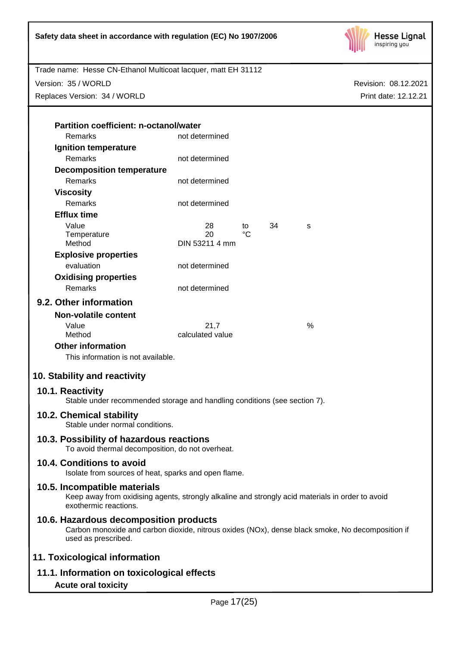

Version: 35 / WORLD

Replaces Version: 34 / WORLD

Revision: 08.12.2021 Print date: 12.12.21

| <b>Partition coefficient: n-octanol/water</b> |                |    |    |   |
|-----------------------------------------------|----------------|----|----|---|
| Remarks                                       | not determined |    |    |   |
| Ignition temperature                          |                |    |    |   |
| Remarks                                       | not determined |    |    |   |
| <b>Decomposition temperature</b>              |                |    |    |   |
| Remarks                                       | not determined |    |    |   |
| Viscosity                                     |                |    |    |   |
| Remarks                                       | not determined |    |    |   |
| <b>Efflux time</b>                            |                |    |    |   |
| Value                                         | 28             | to | 34 | S |
| Temperature                                   | 20             | °C |    |   |
| Method                                        | DIN 53211 4 mm |    |    |   |
| <b>Explosive properties</b>                   |                |    |    |   |
| evaluation                                    | not determined |    |    |   |
| <b>Oxidising properties</b>                   |                |    |    |   |
| Remarks                                       | not determined |    |    |   |
| 9.2. Other information                        |                |    |    |   |
| Non-volatile content                          |                |    |    |   |

**Other information**

This information is not available.

## **10. Stability and reactivity**

### **10.1. Reactivity**

Stable under recommended storage and handling conditions (see section 7).

Value 21,7 %

#### **10.2. Chemical stability**

Stable under normal conditions.

## **10.3. Possibility of hazardous reactions**

To avoid thermal decomposition, do not overheat.

Method calculated value

### **10.4. Conditions to avoid**

Isolate from sources of heat, sparks and open flame.

#### **10.5. Incompatible materials**

Keep away from oxidising agents, strongly alkaline and strongly acid materials in order to avoid exothermic reactions.

### **10.6. Hazardous decomposition products**

Carbon monoxide and carbon dioxide, nitrous oxides (NOx), dense black smoke, No decomposition if used as prescribed.

### **11. Toxicological information**

**11.1. Information on toxicological effects**

### **Acute oral toxicity**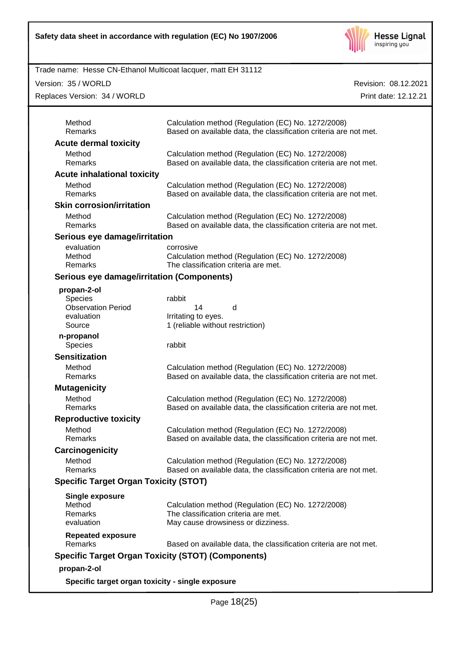

Version: 35 / WORLD

Replaces Version: 34 / WORLD

| Method<br>Remarks                                                           | Calculation method (Regulation (EC) No. 1272/2008)<br>Based on available data, the classification criteria are not met.          |
|-----------------------------------------------------------------------------|----------------------------------------------------------------------------------------------------------------------------------|
| <b>Acute dermal toxicity</b>                                                |                                                                                                                                  |
| Method<br>Remarks                                                           | Calculation method (Regulation (EC) No. 1272/2008)<br>Based on available data, the classification criteria are not met.          |
| <b>Acute inhalational toxicity</b>                                          |                                                                                                                                  |
| Method<br>Remarks                                                           | Calculation method (Regulation (EC) No. 1272/2008)<br>Based on available data, the classification criteria are not met.          |
| <b>Skin corrosion/irritation</b>                                            |                                                                                                                                  |
| Method<br>Remarks                                                           | Calculation method (Regulation (EC) No. 1272/2008)<br>Based on available data, the classification criteria are not met.          |
| Serious eye damage/irritation                                               |                                                                                                                                  |
| evaluation<br>Method<br><b>Remarks</b>                                      | corrosive<br>Calculation method (Regulation (EC) No. 1272/2008)<br>The classification criteria are met.                          |
| <b>Serious eye damage/irritation (Components)</b>                           |                                                                                                                                  |
| propan-2-ol<br>Species<br><b>Observation Period</b><br>evaluation<br>Source | rabbit<br>14<br>d<br>Irritating to eyes.<br>1 (reliable without restriction)                                                     |
| n-propanol<br>Species                                                       | rabbit                                                                                                                           |
| <b>Sensitization</b>                                                        |                                                                                                                                  |
| Method<br>Remarks                                                           | Calculation method (Regulation (EC) No. 1272/2008)<br>Based on available data, the classification criteria are not met.          |
| <b>Mutagenicity</b>                                                         |                                                                                                                                  |
| Method<br>Remarks                                                           | Calculation method (Regulation (EC) No. 1272/2008)<br>Based on available data, the classification criteria are not met.          |
| <b>Reproductive toxicity</b>                                                |                                                                                                                                  |
| Method<br>Remarks                                                           | Calculation method (Regulation (EC) No. 1272/2008)<br>Based on available data, the classification criteria are not met.          |
| Carcinogenicity                                                             |                                                                                                                                  |
| Method<br>Remarks                                                           | Calculation method (Regulation (EC) No. 1272/2008)<br>Based on available data, the classification criteria are not met.          |
| <b>Specific Target Organ Toxicity (STOT)</b>                                |                                                                                                                                  |
| <b>Single exposure</b>                                                      |                                                                                                                                  |
| Method<br>Remarks<br>evaluation                                             | Calculation method (Regulation (EC) No. 1272/2008)<br>The classification criteria are met.<br>May cause drowsiness or dizziness. |
| <b>Repeated exposure</b><br>Remarks                                         | Based on available data, the classification criteria are not met.                                                                |
|                                                                             |                                                                                                                                  |
|                                                                             |                                                                                                                                  |
| <b>Specific Target Organ Toxicity (STOT) (Components)</b><br>propan-2-ol    |                                                                                                                                  |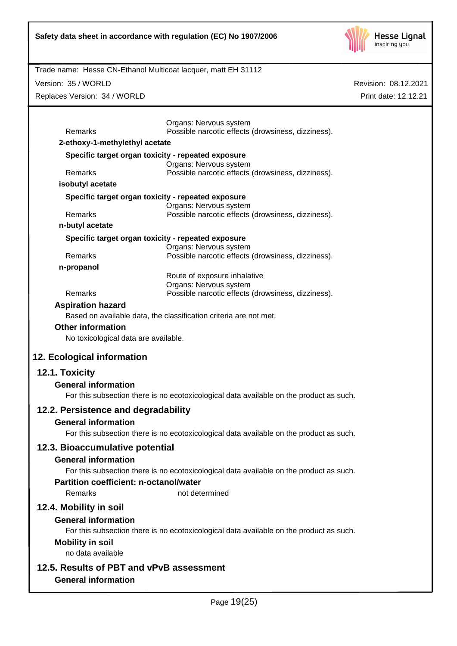

Revision: 08.12.2021

Print date: 12.12.21

Trade name: Hesse CN-Ethanol Multicoat lacquer, matt EH 31112

Version: 35 / WORLD

Replaces Version: 34 / WORLD

|                                                    | Organs: Nervous system                                                                  |
|----------------------------------------------------|-----------------------------------------------------------------------------------------|
| Remarks<br>2-ethoxy-1-methylethyl acetate          | Possible narcotic effects (drowsiness, dizziness).                                      |
| Specific target organ toxicity - repeated exposure |                                                                                         |
|                                                    | Organs: Nervous system                                                                  |
| Remarks                                            | Possible narcotic effects (drowsiness, dizziness).                                      |
| isobutyl acetate                                   |                                                                                         |
| Specific target organ toxicity - repeated exposure | Organs: Nervous system                                                                  |
| Remarks                                            | Possible narcotic effects (drowsiness, dizziness).                                      |
| n-butyl acetate                                    |                                                                                         |
| Specific target organ toxicity - repeated exposure | Organs: Nervous system                                                                  |
| Remarks                                            | Possible narcotic effects (drowsiness, dizziness).                                      |
| n-propanol                                         |                                                                                         |
|                                                    | Route of exposure inhalative<br>Organs: Nervous system                                  |
| Remarks                                            | Possible narcotic effects (drowsiness, dizziness).                                      |
| <b>Aspiration hazard</b>                           |                                                                                         |
|                                                    | Based on available data, the classification criteria are not met.                       |
| <b>Other information</b>                           |                                                                                         |
| No toxicological data are available.               |                                                                                         |
| 12. Ecological information                         |                                                                                         |
| 12.1. Toxicity                                     |                                                                                         |
| <b>General information</b>                         |                                                                                         |
|                                                    | For this subsection there is no ecotoxicological data available on the product as such. |
| 12.2. Persistence and degradability                |                                                                                         |
| <b>General information</b>                         |                                                                                         |
|                                                    | For this subsection there is no ecotoxicological data available on the product as such. |
| 12.3. Bioaccumulative potential                    |                                                                                         |
| <b>General information</b>                         |                                                                                         |
|                                                    | For this subsection there is no ecotoxicological data available on the product as such. |
| <b>Partition coefficient: n-octanol/water</b>      |                                                                                         |
| Remarks                                            | not determined                                                                          |
| 12.4. Mobility in soil                             |                                                                                         |
| <b>General information</b>                         |                                                                                         |
|                                                    | For this subsection there is no ecotoxicological data available on the product as such. |
| <b>Mobility in soil</b>                            |                                                                                         |
| no data available                                  |                                                                                         |
| 12.5. Results of PBT and vPvB assessment           |                                                                                         |
| <b>General information</b>                         |                                                                                         |
|                                                    |                                                                                         |
|                                                    | Page 19(25)                                                                             |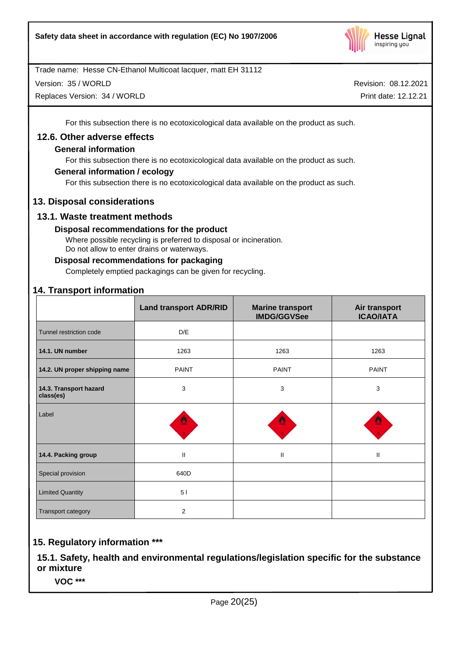

Version: 35 / WORLD

Replaces Version: 34 / WORLD

Revision: 08.12.2021 Print date: 12.12.21

For this subsection there is no ecotoxicological data available on the product as such.

### **12.6. Other adverse effects**

#### **General information**

For this subsection there is no ecotoxicological data available on the product as such.

#### **General information / ecology**

For this subsection there is no ecotoxicological data available on the product as such.

### **13. Disposal considerations**

### **13.1. Waste treatment methods**

#### **Disposal recommendations for the product**

Where possible recycling is preferred to disposal or incineration. Do not allow to enter drains or waterways.

#### **Disposal recommendations for packaging**

Completely emptied packagings can be given for recycling.

### **14. Transport information**

|                                     | <b>Land transport ADR/RID</b> | <b>Marine transport</b><br><b>IMDG/GGVSee</b> | Air transport<br><b>ICAO/IATA</b> |
|-------------------------------------|-------------------------------|-----------------------------------------------|-----------------------------------|
| Tunnel restriction code             | D/E                           |                                               |                                   |
| 14.1. UN number                     | 1263                          | 1263                                          | 1263                              |
| 14.2. UN proper shipping name       | <b>PAINT</b>                  | <b>PAINT</b>                                  | <b>PAINT</b>                      |
| 14.3. Transport hazard<br>class(es) | 3                             | 3                                             | 3                                 |
| Label                               | 썐                             |                                               |                                   |
| 14.4. Packing group                 | $\mathbf{I}$                  | $\mathbf{H}$                                  | $\mathbf{II}$                     |
| Special provision                   | 640D                          |                                               |                                   |
| <b>Limited Quantity</b>             | 51                            |                                               |                                   |
| Transport category                  | $\overline{2}$                |                                               |                                   |

## **15. Regulatory information \*\*\***

**15.1. Safety, health and environmental regulations/legislation specific for the substance or mixture**

**VOC \*\*\***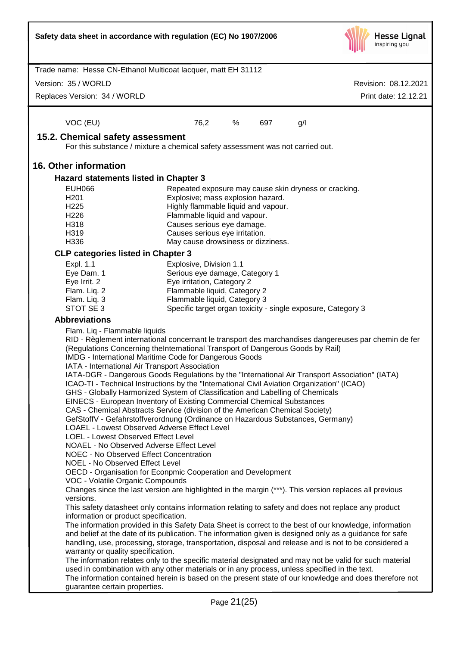| Safety data sheet in accordance with regulation (EC) No 1907/2006                                                                                                                                                                                                                                                                                                                                                                                                                                                                                                                                                                                                                                                                                                                                                                                                                                                                                                                                                                                                                                                                                                                                                                                                                                                                                                                                                                                                                                                                                                                                                                                                                                                                                                                                                                                                                                                                                                                                                                                             |                                                                     |             |     |     | <b>Hesse Lignal</b><br>inspiring you |
|---------------------------------------------------------------------------------------------------------------------------------------------------------------------------------------------------------------------------------------------------------------------------------------------------------------------------------------------------------------------------------------------------------------------------------------------------------------------------------------------------------------------------------------------------------------------------------------------------------------------------------------------------------------------------------------------------------------------------------------------------------------------------------------------------------------------------------------------------------------------------------------------------------------------------------------------------------------------------------------------------------------------------------------------------------------------------------------------------------------------------------------------------------------------------------------------------------------------------------------------------------------------------------------------------------------------------------------------------------------------------------------------------------------------------------------------------------------------------------------------------------------------------------------------------------------------------------------------------------------------------------------------------------------------------------------------------------------------------------------------------------------------------------------------------------------------------------------------------------------------------------------------------------------------------------------------------------------------------------------------------------------------------------------------------------------|---------------------------------------------------------------------|-------------|-----|-----|--------------------------------------|
| Trade name: Hesse CN-Ethanol Multicoat lacquer, matt EH 31112                                                                                                                                                                                                                                                                                                                                                                                                                                                                                                                                                                                                                                                                                                                                                                                                                                                                                                                                                                                                                                                                                                                                                                                                                                                                                                                                                                                                                                                                                                                                                                                                                                                                                                                                                                                                                                                                                                                                                                                                 |                                                                     |             |     |     |                                      |
| Version: 35 / WORLD                                                                                                                                                                                                                                                                                                                                                                                                                                                                                                                                                                                                                                                                                                                                                                                                                                                                                                                                                                                                                                                                                                                                                                                                                                                                                                                                                                                                                                                                                                                                                                                                                                                                                                                                                                                                                                                                                                                                                                                                                                           |                                                                     |             |     |     | Revision: 08.12.2021                 |
| Replaces Version: 34 / WORLD                                                                                                                                                                                                                                                                                                                                                                                                                                                                                                                                                                                                                                                                                                                                                                                                                                                                                                                                                                                                                                                                                                                                                                                                                                                                                                                                                                                                                                                                                                                                                                                                                                                                                                                                                                                                                                                                                                                                                                                                                                  |                                                                     |             |     |     | Print date: 12.12.21                 |
|                                                                                                                                                                                                                                                                                                                                                                                                                                                                                                                                                                                                                                                                                                                                                                                                                                                                                                                                                                                                                                                                                                                                                                                                                                                                                                                                                                                                                                                                                                                                                                                                                                                                                                                                                                                                                                                                                                                                                                                                                                                               |                                                                     |             |     |     |                                      |
| VOC (EU)                                                                                                                                                                                                                                                                                                                                                                                                                                                                                                                                                                                                                                                                                                                                                                                                                                                                                                                                                                                                                                                                                                                                                                                                                                                                                                                                                                                                                                                                                                                                                                                                                                                                                                                                                                                                                                                                                                                                                                                                                                                      | 76,2                                                                | %           | 697 | g/l |                                      |
| 15.2. Chemical safety assessment<br>For this substance / mixture a chemical safety assessment was not carried out.                                                                                                                                                                                                                                                                                                                                                                                                                                                                                                                                                                                                                                                                                                                                                                                                                                                                                                                                                                                                                                                                                                                                                                                                                                                                                                                                                                                                                                                                                                                                                                                                                                                                                                                                                                                                                                                                                                                                            |                                                                     |             |     |     |                                      |
| 16. Other information                                                                                                                                                                                                                                                                                                                                                                                                                                                                                                                                                                                                                                                                                                                                                                                                                                                                                                                                                                                                                                                                                                                                                                                                                                                                                                                                                                                                                                                                                                                                                                                                                                                                                                                                                                                                                                                                                                                                                                                                                                         |                                                                     |             |     |     |                                      |
| Hazard statements listed in Chapter 3                                                                                                                                                                                                                                                                                                                                                                                                                                                                                                                                                                                                                                                                                                                                                                                                                                                                                                                                                                                                                                                                                                                                                                                                                                                                                                                                                                                                                                                                                                                                                                                                                                                                                                                                                                                                                                                                                                                                                                                                                         |                                                                     |             |     |     |                                      |
| <b>EUH066</b>                                                                                                                                                                                                                                                                                                                                                                                                                                                                                                                                                                                                                                                                                                                                                                                                                                                                                                                                                                                                                                                                                                                                                                                                                                                                                                                                                                                                                                                                                                                                                                                                                                                                                                                                                                                                                                                                                                                                                                                                                                                 | Repeated exposure may cause skin dryness or cracking.               |             |     |     |                                      |
| H <sub>201</sub>                                                                                                                                                                                                                                                                                                                                                                                                                                                                                                                                                                                                                                                                                                                                                                                                                                                                                                                                                                                                                                                                                                                                                                                                                                                                                                                                                                                                                                                                                                                                                                                                                                                                                                                                                                                                                                                                                                                                                                                                                                              | Explosive; mass explosion hazard.                                   |             |     |     |                                      |
| H <sub>225</sub><br>H <sub>226</sub>                                                                                                                                                                                                                                                                                                                                                                                                                                                                                                                                                                                                                                                                                                                                                                                                                                                                                                                                                                                                                                                                                                                                                                                                                                                                                                                                                                                                                                                                                                                                                                                                                                                                                                                                                                                                                                                                                                                                                                                                                          | Highly flammable liquid and vapour.<br>Flammable liquid and vapour. |             |     |     |                                      |
| H318                                                                                                                                                                                                                                                                                                                                                                                                                                                                                                                                                                                                                                                                                                                                                                                                                                                                                                                                                                                                                                                                                                                                                                                                                                                                                                                                                                                                                                                                                                                                                                                                                                                                                                                                                                                                                                                                                                                                                                                                                                                          | Causes serious eye damage.                                          |             |     |     |                                      |
| H319                                                                                                                                                                                                                                                                                                                                                                                                                                                                                                                                                                                                                                                                                                                                                                                                                                                                                                                                                                                                                                                                                                                                                                                                                                                                                                                                                                                                                                                                                                                                                                                                                                                                                                                                                                                                                                                                                                                                                                                                                                                          | Causes serious eye irritation.                                      |             |     |     |                                      |
| H336<br><b>CLP categories listed in Chapter 3</b>                                                                                                                                                                                                                                                                                                                                                                                                                                                                                                                                                                                                                                                                                                                                                                                                                                                                                                                                                                                                                                                                                                                                                                                                                                                                                                                                                                                                                                                                                                                                                                                                                                                                                                                                                                                                                                                                                                                                                                                                             | May cause drowsiness or dizziness.                                  |             |     |     |                                      |
| Expl. 1.1                                                                                                                                                                                                                                                                                                                                                                                                                                                                                                                                                                                                                                                                                                                                                                                                                                                                                                                                                                                                                                                                                                                                                                                                                                                                                                                                                                                                                                                                                                                                                                                                                                                                                                                                                                                                                                                                                                                                                                                                                                                     | Explosive, Division 1.1                                             |             |     |     |                                      |
| Eye Dam. 1                                                                                                                                                                                                                                                                                                                                                                                                                                                                                                                                                                                                                                                                                                                                                                                                                                                                                                                                                                                                                                                                                                                                                                                                                                                                                                                                                                                                                                                                                                                                                                                                                                                                                                                                                                                                                                                                                                                                                                                                                                                    | Serious eye damage, Category 1                                      |             |     |     |                                      |
| Eye Irrit. 2                                                                                                                                                                                                                                                                                                                                                                                                                                                                                                                                                                                                                                                                                                                                                                                                                                                                                                                                                                                                                                                                                                                                                                                                                                                                                                                                                                                                                                                                                                                                                                                                                                                                                                                                                                                                                                                                                                                                                                                                                                                  | Eye irritation, Category 2                                          |             |     |     |                                      |
| Flam. Liq. 2<br>Flam. Liq. 3                                                                                                                                                                                                                                                                                                                                                                                                                                                                                                                                                                                                                                                                                                                                                                                                                                                                                                                                                                                                                                                                                                                                                                                                                                                                                                                                                                                                                                                                                                                                                                                                                                                                                                                                                                                                                                                                                                                                                                                                                                  | Flammable liquid, Category 2<br>Flammable liquid, Category 3        |             |     |     |                                      |
| STOT SE 3                                                                                                                                                                                                                                                                                                                                                                                                                                                                                                                                                                                                                                                                                                                                                                                                                                                                                                                                                                                                                                                                                                                                                                                                                                                                                                                                                                                                                                                                                                                                                                                                                                                                                                                                                                                                                                                                                                                                                                                                                                                     | Specific target organ toxicity - single exposure, Category 3        |             |     |     |                                      |
| <b>Abbreviations</b>                                                                                                                                                                                                                                                                                                                                                                                                                                                                                                                                                                                                                                                                                                                                                                                                                                                                                                                                                                                                                                                                                                                                                                                                                                                                                                                                                                                                                                                                                                                                                                                                                                                                                                                                                                                                                                                                                                                                                                                                                                          |                                                                     |             |     |     |                                      |
| Flam. Liq - Flammable liquids<br>RID - Règlement international concernant le transport des marchandises dangereuses par chemin de fer<br>(Regulations Concerning theInternational Transport of Dangerous Goods by Rail)<br>IMDG - International Maritime Code for Dangerous Goods<br>IATA - International Air Transport Association<br>IATA-DGR - Dangerous Goods Regulations by the "International Air Transport Association" (IATA)<br>ICAO-TI - Technical Instructions by the "International Civil Aviation Organization" (ICAO)<br>GHS - Globally Harmonized System of Classification and Labelling of Chemicals<br>EINECS - European Inventory of Existing Commercial Chemical Substances<br>CAS - Chemical Abstracts Service (division of the American Chemical Society)<br>GefStoffV - Gefahrstoffverordnung (Ordinance on Hazardous Substances, Germany)<br>LOAEL - Lowest Observed Adverse Effect Level<br><b>LOEL - Lowest Observed Effect Level</b><br>NOAEL - No Observed Adverse Effect Level<br><b>NOEC - No Observed Effect Concentration</b><br>NOEL - No Observed Effect Level<br>OECD - Organisation for Econpmic Cooperation and Development<br>VOC - Volatile Organic Compounds<br>Changes since the last version are highlighted in the margin (***). This version replaces all previous<br>versions.<br>This safety datasheet only contains information relating to safety and does not replace any product<br>information or product specification.<br>The information provided in this Safety Data Sheet is correct to the best of our knowledge, information<br>and belief at the date of its publication. The information given is designed only as a guidance for safe<br>handling, use, processing, storage, transportation, disposal and release and is not to be considered a<br>warranty or quality specification.<br>The information relates only to the specific material designated and may not be valid for such material<br>used in combination with any other materials or in any process, unless specified in the text. |                                                                     |             |     |     |                                      |
| The information contained herein is based on the present state of our knowledge and does therefore not<br>guarantee certain properties.                                                                                                                                                                                                                                                                                                                                                                                                                                                                                                                                                                                                                                                                                                                                                                                                                                                                                                                                                                                                                                                                                                                                                                                                                                                                                                                                                                                                                                                                                                                                                                                                                                                                                                                                                                                                                                                                                                                       |                                                                     |             |     |     |                                      |
|                                                                                                                                                                                                                                                                                                                                                                                                                                                                                                                                                                                                                                                                                                                                                                                                                                                                                                                                                                                                                                                                                                                                                                                                                                                                                                                                                                                                                                                                                                                                                                                                                                                                                                                                                                                                                                                                                                                                                                                                                                                               |                                                                     | Page 21(25) |     |     |                                      |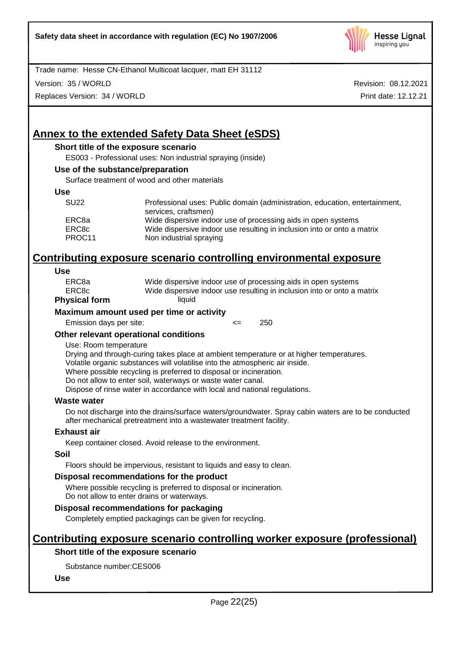

Version: 35 / WORLD

Replaces Version: 34 / WORLD

Revision: 08.12.2021 Print date: 12.12.21

## **Annex to the extended Safety Data Sheet (eSDS)**

#### **Short title of the exposure scenario**

ES003 - Professional uses: Non industrial spraying (inside)

#### **Use of the substance/preparation**

Surface treatment of wood and other materials

#### **Use**

| <b>SU22</b> | Professional uses: Public domain (administration, education, entertainment,<br>services, craftsmen) |
|-------------|-----------------------------------------------------------------------------------------------------|
| ERC8a       | Wide dispersive indoor use of processing aids in open systems                                       |
| ERC8c       | Wide dispersive indoor use resulting in inclusion into or onto a matrix                             |
| PROC11      | Non industrial spraying                                                                             |

## **Contributing exposure scenario controlling environmental exposure**

#### **Use**

| ERC8a        | Wide dispersive indoor use of processing aids in open systems           |
|--------------|-------------------------------------------------------------------------|
| ERC8c        | Wide dispersive indoor use resulting in inclusion into or onto a matrix |
| vsical form. | liauid                                                                  |

#### **Physical form**

#### **Maximum amount used per time or activity**

Emission days per site:  $\leq$  250

#### **Other relevant operational conditions**

#### Use: Room temperature

Drying and through-curing takes place at ambient temperature or at higher temperatures. Volatile organic substances will volatilise into the atmospheric air inside.

Where possible recycling is preferred to disposal or incineration.

Do not allow to enter soil, waterways or waste water canal.

Dispose of rinse water in accordance with local and national regulations.

#### **Waste water**

Do not discharge into the drains/surface waters/groundwater. Spray cabin waters are to be conducted after mechanical pretreatment into a wastewater treatment facility.

#### **Exhaust air**

Keep container closed. Avoid release to the environment.

#### **Soil**

Floors should be impervious, resistant to liquids and easy to clean.

#### **Disposal recommendations for the product**

Where possible recycling is preferred to disposal or incineration. Do not allow to enter drains or waterways.

## **Disposal recommendations for packaging**

Completely emptied packagings can be given for recycling.

# **Contributing exposure scenario controlling worker exposure (professional)**

## **Short title of the exposure scenario**

Substance number:CES006

#### **Use**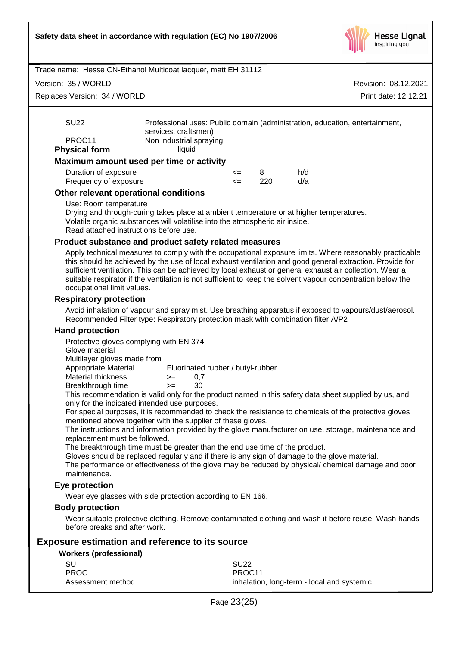

Version: 35 / WORLD

Replaces Version: 34 / WORLD

Revision: 08.12.2021 Print date: 12.12.21

|                      | Maximum amount used per time or activity                                                            |
|----------------------|-----------------------------------------------------------------------------------------------------|
| <b>Physical form</b> | liauid                                                                                              |
| PROC11               | Non industrial spraying                                                                             |
| <b>SU22</b>          | Professional uses: Public domain (administration, education, entertainment,<br>services, craftsmen) |

| Duration of exposure  | <= |     | h/d |
|-----------------------|----|-----|-----|
| Frequency of exposure |    | 220 | d/a |

#### **Other relevant operational conditions**

#### Use: Room temperature

Drying and through-curing takes place at ambient temperature or at higher temperatures. Volatile organic substances will volatilise into the atmospheric air inside. Read attached instructions before use.

#### **Product substance and product safety related measures**

Apply technical measures to comply with the occupational exposure limits. Where reasonably practicable this should be achieved by the use of local exhaust ventilation and good general extraction. Provide for sufficient ventilation. This can be achieved by local exhaust or general exhaust air collection. Wear a suitable respirator if the ventilation is not sufficient to keep the solvent vapour concentration below the occupational limit values.

#### **Respiratory protection**

Avoid inhalation of vapour and spray mist. Use breathing apparatus if exposed to vapours/dust/aerosol. Recommended Filter type: Respiratory protection mask with combination filter A/P2

#### **Hand protection**

Protective gloves complying with EN 374.

Glove material

Multilayer gloves made from

| Appropriate Material |      | Fluorinated rubber / butyl-rubber |
|----------------------|------|-----------------------------------|
| Material thickness   | $>=$ | (1)                               |
| Breakthrough time    | $>=$ | 30                                |

This recommendation is valid only for the product named in this safety data sheet supplied by us, and only for the indicated intended use purposes.

For special purposes, it is recommended to check the resistance to chemicals of the protective gloves mentioned above together with the supplier of these gloves.

The instructions and information provided by the glove manufacturer on use, storage, maintenance and replacement must be followed.

The breakthrough time must be greater than the end use time of the product.

Gloves should be replaced regularly and if there is any sign of damage to the glove material.

The performance or effectiveness of the glove may be reduced by physical/ chemical damage and poor maintenance.

#### **Eye protection**

Wear eye glasses with side protection according to EN 166.

#### **Body protection**

Wear suitable protective clothing. Remove contaminated clothing and wash it before reuse. Wash hands before breaks and after work.

#### **Exposure estimation and reference to its source**

#### **Workers (professional)**

| -SU               | SU <sub>22</sub>                           |
|-------------------|--------------------------------------------|
| <b>PROC</b>       | PROC <sub>11</sub>                         |
| Assessment method | inhalation, long-term - local and systemic |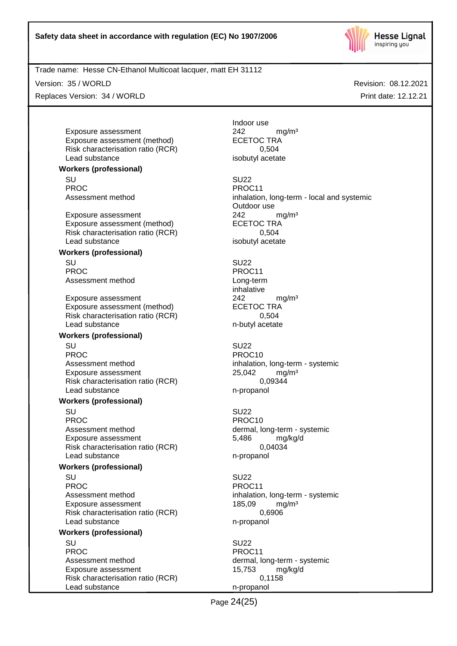

Version: 35 / WORLD

Replaces Version: 34 / WORLD

Revision: 08.12.2021 Print date: 12.12.21

Exposure assessment <br>
Exposure assessment (method) 
<br>
ECETOC TRA Exposure assessment (method) Risk characterisation ratio (RCR) 0,504 Lead substance isobutyl acetate

**Workers (professional)**

SU SU22 PROC PROC11<br>Assessment method example and proportional proportional proportional proportional proportional proportional pr<br>Assessment method by the proportional proportional proportional proportional proportional proportio

Exposure assessment <br>
Exposure assessment (method) 
<br>
EXPOSURE ASSESSMENT CONTRA Exposure assessment (method) Risk characterisation ratio (RCR) 0,504 Lead substance isobutyl acetate

#### **Workers (professional)**

SU SU22 PROC PROC11 Assessment method Long-term

Exposure assessment <br>
Exposure assessment (method) 
<br>
ECETOC TRA Exposure assessment (method) Risk characterisation ratio (RCR) 0,504 Lead substance n-butyl acetate

#### **Workers (professional)**

SU SU22 PROC PROCTER PROCTER PROCTER PROCTER PROCTER PROCTER PROCTER PROCTER PROCTER PROCTER PROCTER PROCTER PROCTER PROCTER PROCTER PROCTER PROCTER PROCTER PROCTER PROCTER PROCTER PROCTER PROCTER PROCTER PROCTER PROCTER PROCTER P Assessment method inhalation, long-term - systemic Exposure assessment 25,042 mg/m<sup>3</sup><br>Risk characterisation ratio (RCR) 6.09344 Risk characterisation ratio (RCR) Lead substance n-propanol

#### **Workers (professional)**

SU SU22 PROC PROC10 Assessment method dermal, long-term - systemic Exposure assessment 6,486 mg/kg/d Risk characterisation ratio (RCR) 0,04034 Lead substance n-propanol

#### **Workers (professional)**

SU SU22 PROC PROCTER PROC11 Assessment method inhalation, long-term - systemic Exposure assessment 185,09 mg/m<sup>3</sup> Risk characterisation ratio (RCR) 0,6906 Lead substance n-propanol

### **Workers (professional)**

SU SU22 PROC PROCTER PROCTER PROCTER PROCTER PROCTER PROCTER PROCTER PROCTER PROCTER PROCTER PROCTER PROCTER PROCTER PROCTER PROCTER PROCTER PROCTER PROCTER PROCTER PROCTER PROCTER PROCTER PROCTER PROCTER PROCTER PROCTER PROCTER P Assessment method dermal, long-term - systemic Exposure assessment 15,753 mg/kg/d Risk characterisation ratio (RCR) 0,1158 Lead substance n-propanol

Indoor use

inhalation, long-term - local and systemic Outdoor use

inhalative

Page 24(25)